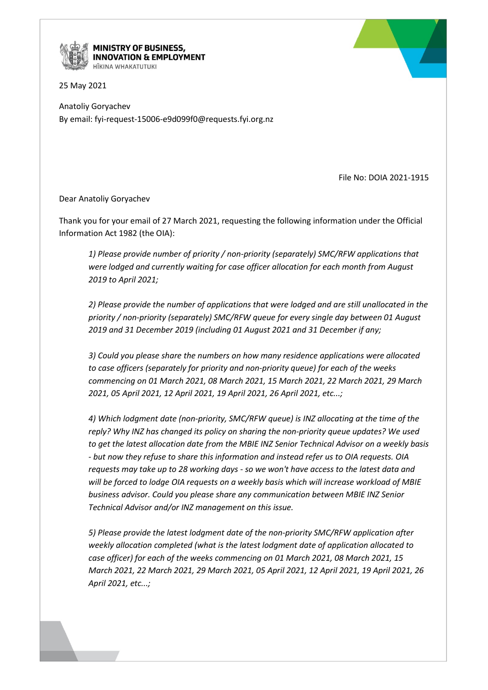

**MINISTRY OF BUSINESS, INNOVATION & EMPLOYMENT** 

25 May 2021

Anatoliy Goryachev By email: fyi-request-15006-e9d099f0@requests.fyi.org.nz

File No: DOIA 2021-1915

Dear Anatoliy Goryachev

Thank you for your email of 27 March 2021, requesting the following information under the Official Information Act 1982 (the OIA):

*1) Please provide number of priority / non-priority (separately) SMC/RFW applications that were lodged and currently waiting for case officer allocation for each month from August 2019 to April 2021;*

*2) Please provide the number of applications that were lodged and are still unallocated in the priority / non-priority (separately) SMC/RFW queue for every single day between 01 August 2019 and 31 December 2019 (including 01 August 2021 and 31 December if any;*

*3) Could you please share the numbers on how many residence applications were allocated to case officers (separately for priority and non-priority queue) for each of the weeks commencing on 01 March 2021, 08 March 2021, 15 March 2021, 22 March 2021, 29 March 2021, 05 April 2021, 12 April 2021, 19 April 2021, 26 April 2021, etc...;*

*4) Which lodgment date (non-priority, SMC/RFW queue) is INZ allocating at the time of the reply? Why INZ has changed its policy on sharing the non-priority queue updates? We used to get the latest allocation date from the MBIE INZ Senior Technical Advisor on a weekly basis - but now they refuse to share this information and instead refer us to OIA requests. OIA requests may take up to 28 working days - so we won't have access to the latest data and will be forced to lodge OIA requests on a weekly basis which will increase workload of MBIE business advisor. Could you please share any communication between MBIE INZ Senior Technical Advisor and/or INZ management on this issue.*

*5) Please provide the latest lodgment date of the non-priority SMC/RFW application after weekly allocation completed (what is the latest lodgment date of application allocated to case officer) for each of the weeks commencing on 01 March 2021, 08 March 2021, 15 March 2021, 22 March 2021, 29 March 2021, 05 April 2021, 12 April 2021, 19 April 2021, 26 April 2021, etc...;*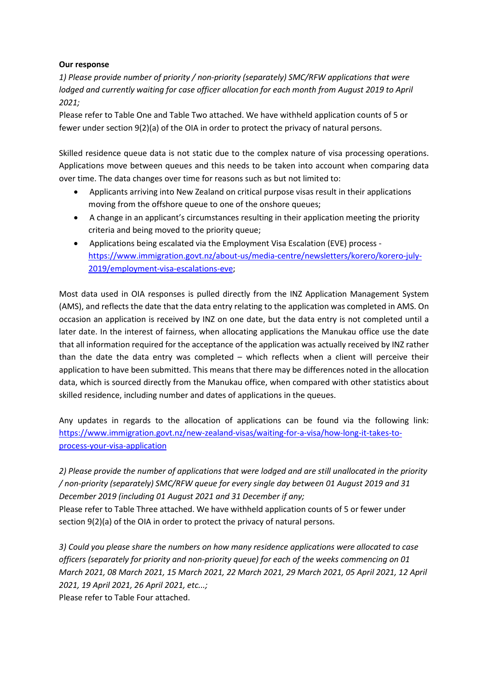## **Our response**

*1) Please provide number of priority / non-priority (separately) SMC/RFW applications that were lodged and currently waiting for case officer allocation for each month from August 2019 to April 2021;*

Please refer to Table One and Table Two attached. We have withheld application counts of 5 or fewer under section 9(2)(a) of the OIA in order to protect the privacy of natural persons.

Skilled residence queue data is not static due to the complex nature of visa processing operations. Applications move between queues and this needs to be taken into account when comparing data over time. The data changes over time for reasons such as but not limited to:

- Applicants arriving into New Zealand on critical purpose visas result in their applications moving from the offshore queue to one of the onshore queues;
- A change in an applicant's circumstances resulting in their application meeting the priority criteria and being moved to the priority queue;
- Applications being escalated via the Employment Visa Escalation (EVE) process [https://www.immigration.govt.nz/about-us/media-centre/newsletters/korero/korero-july-](https://www.immigration.govt.nz/about-us/media-centre/newsletters/korero/korero-july-2019/employment-visa-escalations-eve)[2019/employment-visa-escalations-eve;](https://www.immigration.govt.nz/about-us/media-centre/newsletters/korero/korero-july-2019/employment-visa-escalations-eve)

Most data used in OIA responses is pulled directly from the INZ Application Management System (AMS), and reflects the date that the data entry relating to the application was completed in AMS. On occasion an application is received by INZ on one date, but the data entry is not completed until a later date. In the interest of fairness, when allocating applications the Manukau office use the date that all information required for the acceptance of the application was actually received by INZ rather than the date the data entry was completed – which reflects when a client will perceive their application to have been submitted. This means that there may be differences noted in the allocation data, which is sourced directly from the Manukau office, when compared with other statistics about skilled residence, including number and dates of applications in the queues.

Any updates in regards to the allocation of applications can be found via the following link: [https://www.immigration.govt.nz/new-zealand-visas/waiting-for-a-visa/how-long-it-takes-to](https://www.immigration.govt.nz/new-zealand-visas/waiting-for-a-visa/how-long-it-takes-to-process-your-visa-application)[process-your-visa-application](https://www.immigration.govt.nz/new-zealand-visas/waiting-for-a-visa/how-long-it-takes-to-process-your-visa-application)

*2) Please provide the number of applications that were lodged and are still unallocated in the priority / non-priority (separately) SMC/RFW queue for every single day between 01 August 2019 and 31 December 2019 (including 01 August 2021 and 31 December if any;* Please refer to Table Three attached. We have withheld application counts of 5 or fewer under section 9(2)(a) of the OIA in order to protect the privacy of natural persons.

*3) Could you please share the numbers on how many residence applications were allocated to case officers (separately for priority and non-priority queue) for each of the weeks commencing on 01 March 2021, 08 March 2021, 15 March 2021, 22 March 2021, 29 March 2021, 05 April 2021, 12 April 2021, 19 April 2021, 26 April 2021, etc...;* Please refer to Table Four attached.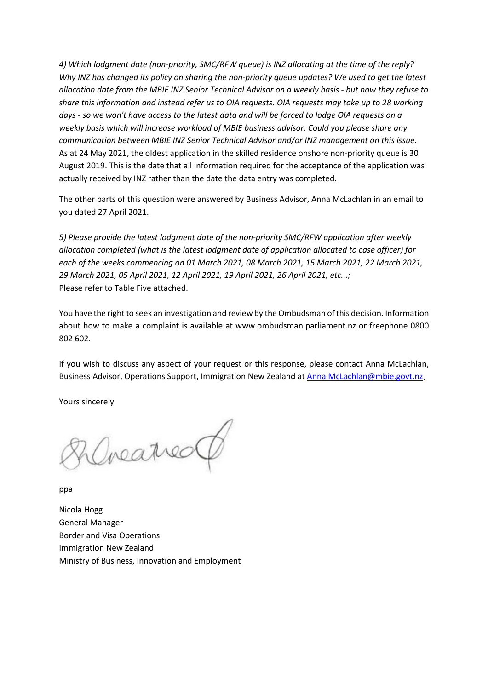*4) Which lodgment date (non-priority, SMC/RFW queue) is INZ allocating at the time of the reply? Why INZ has changed its policy on sharing the non-priority queue updates? We used to get the latest allocation date from the MBIE INZ Senior Technical Advisor on a weekly basis - but now they refuse to share this information and instead refer us to OIA requests. OIA requests may take up to 28 working days - so we won't have access to the latest data and will be forced to lodge OIA requests on a weekly basis which will increase workload of MBIE business advisor. Could you please share any communication between MBIE INZ Senior Technical Advisor and/or INZ management on this issue.* As at 24 May 2021, the oldest application in the skilled residence onshore non-priority queue is 30 August 2019. This is the date that all information required for the acceptance of the application was actually received by INZ rather than the date the data entry was completed.

The other parts of this question were answered by Business Advisor, Anna McLachlan in an email to you dated 27 April 2021.

*5) Please provide the latest lodgment date of the non-priority SMC/RFW application after weekly allocation completed (what is the latest lodgment date of application allocated to case officer) for each of the weeks commencing on 01 March 2021, 08 March 2021, 15 March 2021, 22 March 2021, 29 March 2021, 05 April 2021, 12 April 2021, 19 April 2021, 26 April 2021, etc...;* Please refer to Table Five attached.

You have the right to seek an investigation and review by the Ombudsman of this decision. Information about how to make a complaint is available at [www.ombudsman.parliament.nz](http://www.ombudsman.parliament.nz/) or freephone 0800 802 602.

If you wish to discuss any aspect of your request or this response, please contact Anna McLachlan, Business Advisor, Operations Support, Immigration New Zealand a[t Anna.McLachlan@mbie.govt.nz.](mailto:xxxx.xxxxxxxxx@xxxx.xxxx.xx)

Yours sincerely

Irearred

ppa

Nicola Hogg General Manager Border and Visa Operations Immigration New Zealand Ministry of Business, Innovation and Employment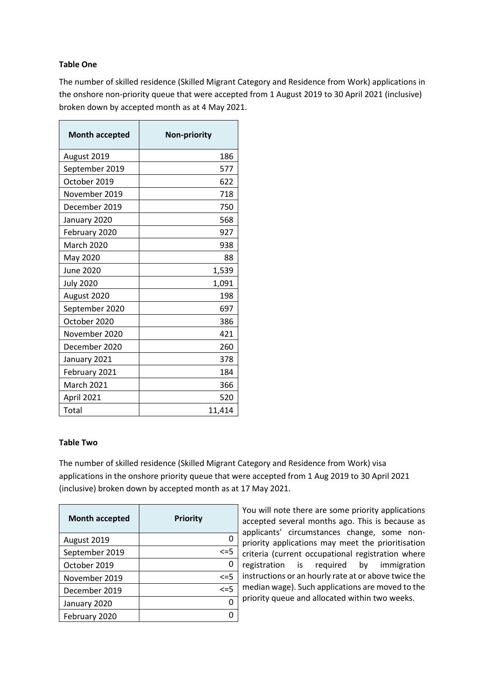# **Table One**

The number of skilled residence (Skilled Migrant Category and Residence from Work) applications in the onshore non-priority queue that were accepted from 1 August 2019 to 30 April 2021 (inclusive) broken down by accepted month as at 4 May 2021.

| <b>Month accepted</b> | <b>Non-priority</b> |
|-----------------------|---------------------|
| August 2019           | 186                 |
| September 2019        | 577                 |
| October 2019          | 622                 |
| November 2019         | 718                 |
| December 2019         | 750                 |
| January 2020          | 568                 |
| February 2020         | 927                 |
| <b>March 2020</b>     | 938                 |
| May 2020              | 88                  |
| June 2020             | 1,539               |
| <b>July 2020</b>      | 1,091               |
| August 2020           | 198                 |
| September 2020        | 697                 |
| October 2020          | 386                 |
| November 2020         | 421                 |
| December 2020         | 260                 |
| January 2021          | 378                 |
| February 2021         | 184                 |
| March 2021            | 366                 |
| April 2021            | 520                 |
| Total                 | 11,414              |

#### **Table Two**

The number of skilled residence (Skilled Migrant Category and Residence from Work) visa applications in the onshore priority queue that were accepted from 1 Aug 2019 to 30 April 2021 (inclusive) broken down by accepted month as at 17 May 2021.

| <b>Month accepted</b> | <b>Priority</b> |
|-----------------------|-----------------|
| August 2019           |                 |
| September 2019        | $\leq$ =5       |
| October 2019          |                 |
| November 2019         | $\leq$ =5       |
| December 2019         | $\leq$ =5       |
| January 2020          |                 |
| February 2020         |                 |

You will note there are some priority applications accepted several months ago. This is because as applicants' circumstances change, some nonpriority applications may meet the prioritisation criteria (current occupational registration where registration is required by immigration instructions or an hourly rate at or above twice the median wage). Such applications are moved to the priority queue and allocated within two weeks.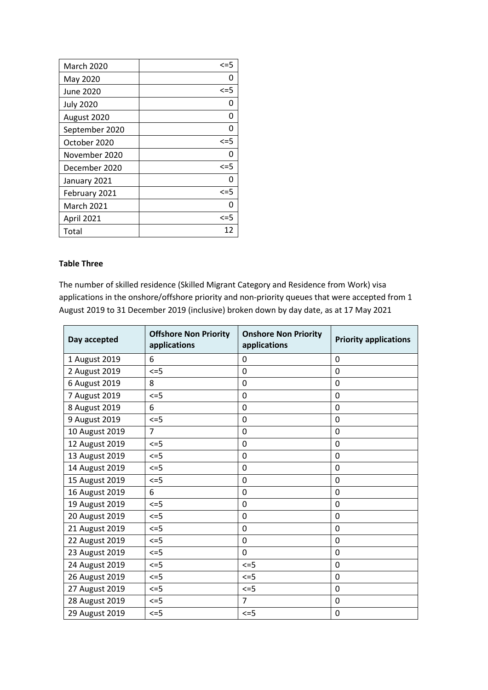| <b>March 2020</b> | $\leq$ =5 |
|-------------------|-----------|
| May 2020          | n         |
| June 2020         | $\leq$ =5 |
| <b>July 2020</b>  | O         |
| August 2020       | n         |
| September 2020    | n         |
| October 2020      | $\leq$ =5 |
| November 2020     | O         |
| December 2020     | $\leq$ =5 |
| January 2021      | n         |
| February 2021     | $\leq$ =5 |
| <b>March 2021</b> |           |
| April 2021        | $\leq$ =5 |
| Total             | 12        |

## **Table Three**

The number of skilled residence (Skilled Migrant Category and Residence from Work) visa applications in the onshore/offshore priority and non-priority queues that were accepted from 1 August 2019 to 31 December 2019 (inclusive) broken down by day date, as at 17 May 2021

| Day accepted   | <b>Offshore Non Priority</b><br>applications | <b>Onshore Non Priority</b><br>applications | <b>Priority applications</b> |
|----------------|----------------------------------------------|---------------------------------------------|------------------------------|
| 1 August 2019  | 6                                            | 0                                           | $\mathbf 0$                  |
| 2 August 2019  | $\leq$ =5                                    | $\mathbf 0$                                 | $\mathbf 0$                  |
| 6 August 2019  | 8                                            | 0                                           | $\mathbf{0}$                 |
| 7 August 2019  | $\leq$ =5                                    | $\boldsymbol{0}$                            | $\mathbf 0$                  |
| 8 August 2019  | 6                                            | $\mathbf 0$                                 | $\mathbf 0$                  |
| 9 August 2019  | $\leq$ =5                                    | $\mathbf 0$                                 | $\mathbf 0$                  |
| 10 August 2019 | $\overline{7}$                               | $\mathbf 0$                                 | 0                            |
| 12 August 2019 | $\leq$ =5                                    | $\mathbf 0$                                 | $\Omega$                     |
| 13 August 2019 | $\leq$ =5                                    | $\boldsymbol{0}$                            | $\mathbf 0$                  |
| 14 August 2019 | $\leq$ =5                                    | $\boldsymbol{0}$                            | $\mathbf 0$                  |
| 15 August 2019 | $\leq$ =5                                    | $\mathbf 0$                                 | 0                            |
| 16 August 2019 | 6                                            | $\mathbf 0$                                 | $\mathbf 0$                  |
| 19 August 2019 | $\leq$ =5                                    | $\boldsymbol{0}$                            | $\mathbf{0}$                 |
| 20 August 2019 | $\leq$ =5                                    | $\boldsymbol{0}$                            | $\mathbf 0$                  |
| 21 August 2019 | $\leq$ =5                                    | $\mathbf 0$                                 | $\mathbf 0$                  |
| 22 August 2019 | $\leq$ =5                                    | 0                                           | $\mathbf{0}$                 |
| 23 August 2019 | $\leq$ =5                                    | $\mathbf 0$                                 | $\mathbf 0$                  |
| 24 August 2019 | $\leq$ =5                                    | $\leq$ =5                                   | 0                            |
| 26 August 2019 | $\leq$ =5                                    | $\leq$ =5                                   | $\mathbf 0$                  |
| 27 August 2019 | $\leq$ =5                                    | $\leq$ =5                                   | $\mathbf 0$                  |
| 28 August 2019 | $\leq$ =5                                    | $\overline{7}$                              | $\mathbf 0$                  |
| 29 August 2019 | $\leq$ =5                                    | $\leq$ =5                                   | $\mathbf 0$                  |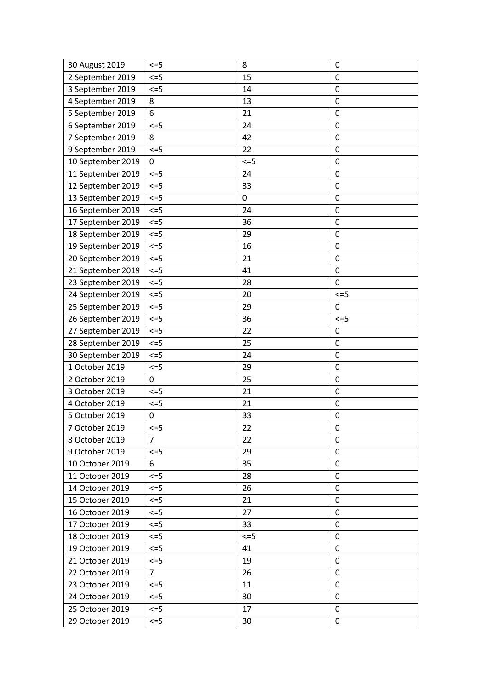| 30 August 2019    | $\leq$ =5      | 8         | 0            |
|-------------------|----------------|-----------|--------------|
| 2 September 2019  | $\leq$ =5      | 15        | 0            |
| 3 September 2019  | $\leq$ =5      | 14        | $\mathbf 0$  |
| 4 September 2019  | 8              | 13        | 0            |
| 5 September 2019  | 6              | 21        | 0            |
| 6 September 2019  | $\leq$ =5      | 24        | 0            |
| 7 September 2019  | 8              | 42        | $\mathbf 0$  |
| 9 September 2019  | $\leq$ =5      | 22        | 0            |
| 10 September 2019 | 0              | $\leq$ =5 | $\mathbf 0$  |
| 11 September 2019 | $\leq$ =5      | 24        | 0            |
| 12 September 2019 | $\leq$ =5      | 33        | 0            |
| 13 September 2019 | $\leq$ =5      | 0         | 0            |
| 16 September 2019 | $\leq$ =5      | 24        | 0            |
| 17 September 2019 | $\leq$ =5      | 36        | 0            |
| 18 September 2019 | $\leq$ =5      | 29        | 0            |
| 19 September 2019 | $\leq$ =5      | 16        | $\mathbf 0$  |
| 20 September 2019 | $\leq$ =5      | 21        | 0            |
| 21 September 2019 | $\leq$ =5      | 41        | 0            |
| 23 September 2019 | $\leq$ =5      | 28        | 0            |
| 24 September 2019 | $\leq$ =5      | 20        | $\leq$ =5    |
| 25 September 2019 | $\leq$ =5      | 29        | 0            |
| 26 September 2019 | $\leq$ =5      | 36        | $\leq$ =5    |
| 27 September 2019 | $\leq$ =5      | 22        | 0            |
| 28 September 2019 | $\leq$ =5      | 25        | 0            |
| 30 September 2019 | $\leq$ =5      | 24        | 0            |
| 1 October 2019    | $\leq$ =5      | 29        | 0            |
| 2 October 2019    | 0              | 25        | 0            |
| 3 October 2019    | $\leq$ =5      | 21        | 0            |
| 4 October 2019    | $\leq$ =5      | 21        | $\mathbf 0$  |
| 5 October 2019    | 0              | 33        | 0            |
| 7 October 2019    | $\leq$ =5      | 22        | 0            |
| 8 October 2019    | 7              | 22        | 0            |
| 9 October 2019    | $\leq$ =5      | 29        | $\mathbf{0}$ |
| 10 October 2019   | 6              | 35        | 0            |
| 11 October 2019   | $\leq$ =5      | 28        | $\mathbf{0}$ |
| 14 October 2019   | $\leq$ =5      | 26        | 0            |
| 15 October 2019   | $\leq$ =5      | 21        | $\mathbf{0}$ |
| 16 October 2019   | $\leq$ =5      | 27        | 0            |
| 17 October 2019   | $\leq$ =5      | 33        | 0            |
| 18 October 2019   | $\leq$ =5      | $\leq$ =5 | 0            |
| 19 October 2019   | $\leq$ =5      | 41        | 0            |
| 21 October 2019   | $\leq$ =5      | 19        | 0            |
| 22 October 2019   | $\overline{7}$ | 26        | 0            |
| 23 October 2019   | $\leq$ =5      | 11        | 0            |
| 24 October 2019   | $\leq$ =5      | 30        | 0            |
| 25 October 2019   | $\leq$ =5      | 17        | 0            |
| 29 October 2019   | $\leq$ =5      | 30        | 0            |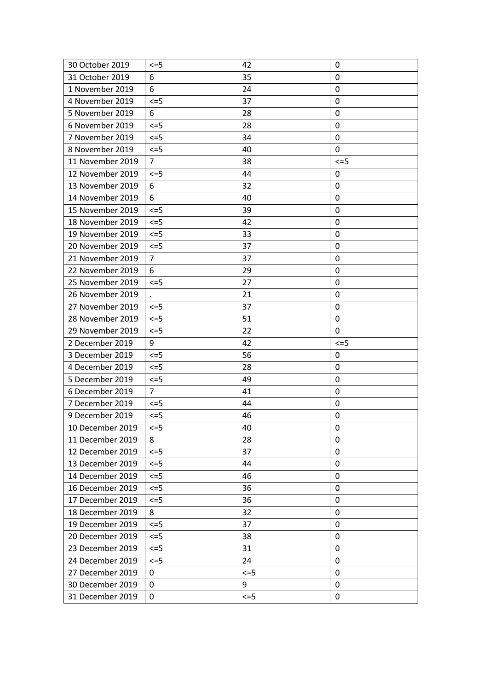| 30 October 2019  | $\leq$ =5      | 42        | 0            |
|------------------|----------------|-----------|--------------|
| 31 October 2019  | 6              | 35        | 0            |
| 1 November 2019  | 6              | 24        | 0            |
| 4 November 2019  | $\leq$ =5      | 37        | 0            |
| 5 November 2019  | 6              | 28        | 0            |
| 6 November 2019  | $\leq$ =5      | 28        | 0            |
| 7 November 2019  | $\leq$ =5      | 34        | 0            |
| 8 November 2019  | $\leq$ =5      | 40        | $\mathbf{0}$ |
| 11 November 2019 | $\overline{7}$ | 38        | $\leq$ =5    |
| 12 November 2019 | $\leq$ =5      | 44        | 0            |
| 13 November 2019 | 6              | 32        | 0            |
| 14 November 2019 | 6              | 40        | 0            |
| 15 November 2019 | $\leq$ =5      | 39        | 0            |
| 18 November 2019 | $\leq$ =5      | 42        | 0            |
| 19 November 2019 | $\leq$ =5      | 33        | 0            |
| 20 November 2019 | $\leq$ =5      | 37        | 0            |
| 21 November 2019 | $\overline{7}$ | 37        | 0            |
| 22 November 2019 | 6              | 29        | 0            |
| 25 November 2019 | $\leq$ =5      | 27        | 0            |
| 26 November 2019 |                | 21        | 0            |
| 27 November 2019 | $\leq$ =5      | 37        | 0            |
| 28 November 2019 | $\leq$ =5      | 51        | 0            |
| 29 November 2019 | $\leq$ =5      | 22        | 0            |
| 2 December 2019  | 9              | 42        | $\leq$ =5    |
| 3 December 2019  | $\leq$ =5      | 56        | 0            |
| 4 December 2019  | $\leq$ =5      | 28        | 0            |
| 5 December 2019  | $\leq$ =5      | 49        | 0            |
| 6 December 2019  | $\overline{7}$ | 41        | 0            |
| 7 December 2019  | $\leq$ =5      | 44        | 0            |
| 9 December 2019  | $\leq$ =5      | 46        | 0            |
| 10 December 2019 | $\leq$ =5      | 40        | $\mathbf 0$  |
| 11 December 2019 | 8              | 28        | 0            |
| 12 December 2019 | $\leq$ =5      | 37        | 0            |
| 13 December 2019 | $\leq$ =5      | 44        | 0            |
| 14 December 2019 | $\leq$ =5      | 46        | 0            |
| 16 December 2019 | $\leq$ =5      | 36        | 0            |
| 17 December 2019 | $\leq$ =5      | 36        | $\mathbf 0$  |
| 18 December 2019 | 8              | 32        | 0            |
| 19 December 2019 | $\leq$ =5      | 37        | 0            |
| 20 December 2019 | $\leq$ =5      | 38        | 0            |
| 23 December 2019 | $\leq$ =5      | 31        | 0            |
| 24 December 2019 | $\leq$ =5      | 24        | 0            |
| 27 December 2019 | 0              | $\leq$ =5 | 0            |
| 30 December 2019 | 0              | 9         | $\mathbf 0$  |
| 31 December 2019 | 0              | $\leq$ =5 | 0            |